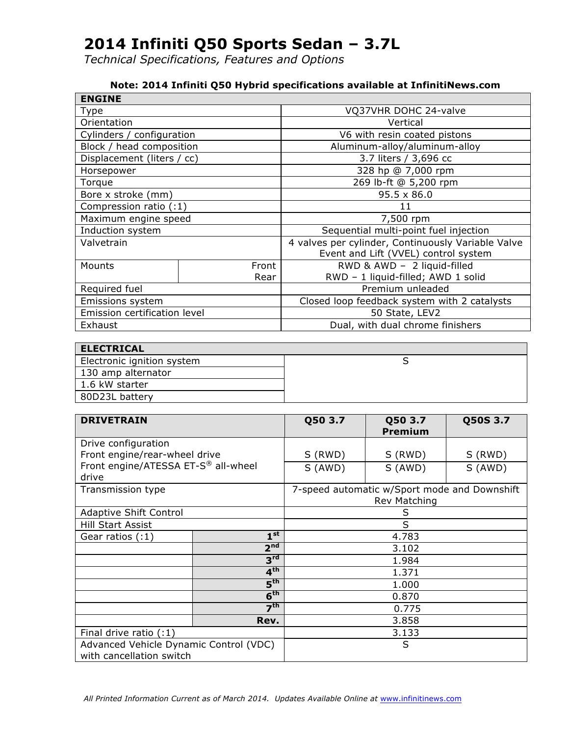*Technical Specifications, Features and Options*

#### **Note: 2014 Infiniti Q50 Hybrid specifications available at InfinitiNews.com**

| <b>ENGINE</b>                |       |                                                    |  |
|------------------------------|-------|----------------------------------------------------|--|
| Type                         |       | VQ37VHR DOHC 24-valve                              |  |
| Orientation                  |       | Vertical                                           |  |
| Cylinders / configuration    |       | V6 with resin coated pistons                       |  |
| Block / head composition     |       | Aluminum-alloy/aluminum-alloy                      |  |
| Displacement (liters / cc)   |       | 3.7 liters / 3,696 cc                              |  |
| Horsepower                   |       | 328 hp @ 7,000 rpm                                 |  |
| Torque                       |       | 269 lb-ft @ 5,200 rpm                              |  |
| Bore x stroke (mm)           |       | $95.5 \times 86.0$                                 |  |
| Compression ratio (:1)       |       | 11                                                 |  |
| Maximum engine speed         |       | 7,500 rpm                                          |  |
| Induction system             |       | Sequential multi-point fuel injection              |  |
| Valvetrain                   |       | 4 valves per cylinder, Continuously Variable Valve |  |
|                              |       | Event and Lift (VVEL) control system               |  |
| Mounts                       | Front | RWD & AWD - 2 liquid-filled                        |  |
|                              | Rear  | RWD - 1 liquid-filled; AWD 1 solid                 |  |
| Required fuel                |       | Premium unleaded                                   |  |
| Emissions system             |       | Closed loop feedback system with 2 catalysts       |  |
| Emission certification level |       | 50 State, LEV2                                     |  |
| Exhaust                      |       | Dual, with dual chrome finishers                   |  |

| <b>ELECTRICAL</b>          |  |
|----------------------------|--|
| Electronic ignition system |  |
| 130 amp alternator         |  |
| 1.6 kW starter             |  |
| 80D23L battery             |  |

| <b>DRIVETRAIN</b>                            |                 | Q50 3.7 | Q50 3.7<br><b>Premium</b>                                    | Q50S 3.7 |
|----------------------------------------------|-----------------|---------|--------------------------------------------------------------|----------|
| Drive configuration                          |                 |         |                                                              |          |
| Front engine/rear-wheel drive                |                 | S (RWD) | S (RWD)                                                      | S (RWD)  |
| Front engine/ATESSA ET-S® all-wheel<br>drive |                 | S (AWD) | S (AWD)                                                      | S (AWD)  |
| Transmission type                            |                 |         | 7-speed automatic w/Sport mode and Downshift<br>Rev Matching |          |
| <b>Adaptive Shift Control</b>                |                 |         | S                                                            |          |
| <b>Hill Start Assist</b>                     |                 | S       |                                                              |          |
| Gear ratios (:1)                             | $1^{\rm st}$    |         | 4.783                                                        |          |
|                                              | 2 <sup>nd</sup> |         | 3.102                                                        |          |
|                                              | 3 <sup>rd</sup> |         | 1.984                                                        |          |
| 4 <sup>th</sup>                              |                 |         | 1.371                                                        |          |
|                                              | 5 <sup>th</sup> | 1.000   |                                                              |          |
| 6 <sup>th</sup>                              |                 | 0.870   |                                                              |          |
| 7 <sup>th</sup>                              |                 | 0.775   |                                                              |          |
|                                              | Rev.            | 3.858   |                                                              |          |
| Final drive ratio (:1)                       |                 | 3.133   |                                                              |          |
| Advanced Vehicle Dynamic Control (VDC)       |                 | S       |                                                              |          |
| with cancellation switch                     |                 |         |                                                              |          |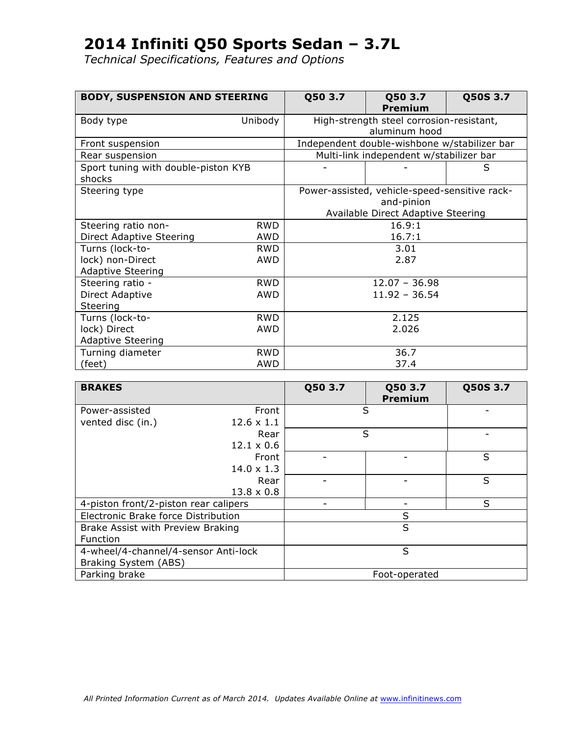| <b>BODY, SUSPENSION AND STEERING</b>          |            | Q50 3.7 | Q50 3.7<br><b>Premium</b>                     | Q50S 3.7 |
|-----------------------------------------------|------------|---------|-----------------------------------------------|----------|
| Body type                                     | Unibody    |         | High-strength steel corrosion-resistant,      |          |
|                                               |            |         | aluminum hood                                 |          |
| Front suspension                              |            |         | Independent double-wishbone w/stabilizer bar  |          |
| Rear suspension                               |            |         | Multi-link independent w/stabilizer bar       |          |
| Sport tuning with double-piston KYB<br>shocks |            |         |                                               | S        |
| Steering type                                 |            |         | Power-assisted, vehicle-speed-sensitive rack- |          |
|                                               |            |         | and-pinion                                    |          |
|                                               |            |         | Available Direct Adaptive Steering            |          |
| Steering ratio non-                           | <b>RWD</b> |         | 16.9:1                                        |          |
| <b>Direct Adaptive Steering</b>               | AWD        |         | 16.7:1                                        |          |
| Turns (lock-to-                               | <b>RWD</b> |         | 3.01                                          |          |
| lock) non-Direct                              | AWD        |         | 2.87                                          |          |
| <b>Adaptive Steering</b>                      |            |         |                                               |          |
| Steering ratio -                              | <b>RWD</b> |         | $12.07 - 36.98$                               |          |
| Direct Adaptive                               | AWD        |         | $11.92 - 36.54$                               |          |
| Steering                                      |            |         |                                               |          |
| Turns (lock-to-                               | <b>RWD</b> |         | 2.125                                         |          |
| lock) Direct                                  | AWD        |         | 2.026                                         |          |
| <b>Adaptive Steering</b>                      |            |         |                                               |          |
| Turning diameter                              | <b>RWD</b> |         | 36.7                                          |          |
| (feet)                                        | AWD        |         | 37.4                                          |          |

| <b>BRAKES</b>                         |                   | Q50 3.7 | Q50 3.7<br><b>Premium</b> | Q50S 3.7 |
|---------------------------------------|-------------------|---------|---------------------------|----------|
| Power-assisted                        | Front             |         | S                         |          |
| vented disc (in.)                     | $12.6 \times 1.1$ |         |                           |          |
|                                       | Rear              |         | S                         |          |
|                                       | $12.1 \times 0.6$ |         |                           |          |
|                                       | Front             |         |                           | S        |
|                                       | $14.0 \times 1.3$ |         |                           |          |
|                                       | Rear              |         |                           | S        |
|                                       | $13.8 \times 0.8$ |         |                           |          |
| 4-piston front/2-piston rear calipers |                   |         |                           | S        |
| Electronic Brake force Distribution   |                   |         | S                         |          |
| Brake Assist with Preview Braking     |                   |         | S                         |          |
| Function                              |                   |         |                           |          |
| 4-wheel/4-channel/4-sensor Anti-lock  |                   |         | S                         |          |
| Braking System (ABS)                  |                   |         |                           |          |
| Parking brake                         |                   |         | Foot-operated             |          |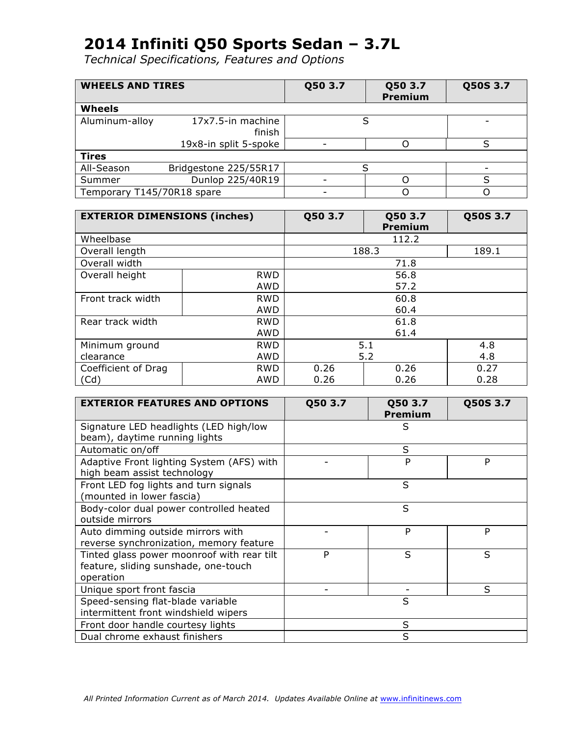| <b>WHEELS AND TIRES</b>    |                             | Q50 3.7 | Q50 3.7<br><b>Premium</b> | Q50S 3.7 |
|----------------------------|-----------------------------|---------|---------------------------|----------|
| Wheels                     |                             |         |                           |          |
| Aluminum-alloy             | 17x7.5-in machine<br>finish |         |                           |          |
|                            | 19x8-in split 5-spoke       |         |                           |          |
| <b>Tires</b>               |                             |         |                           |          |
| All-Season                 | Bridgestone 225/55R17       |         |                           |          |
| Summer                     | Dunlop 225/40R19            |         |                           |          |
| Temporary T145/70R18 spare |                             |         |                           |          |

| <b>EXTERIOR DIMENSIONS (inches)</b> |            | Q50 3.7    | Q50 3.7<br>Premium | Q50S 3.7 |
|-------------------------------------|------------|------------|--------------------|----------|
| Wheelbase                           |            |            | 112.2              |          |
| Overall length                      |            |            | 188.3              | 189.1    |
| Overall width                       |            |            | 71.8               |          |
| Overall height                      | <b>RWD</b> |            | 56.8               |          |
|                                     | AWD        |            | 57.2               |          |
| Front track width                   | <b>RWD</b> | 60.8       |                    |          |
|                                     | AWD        |            | 60.4               |          |
| Rear track width                    | <b>RWD</b> | 61.8       |                    |          |
|                                     | AWD        | 61.4       |                    |          |
| Minimum ground                      | <b>RWD</b> | 5.1<br>4.8 |                    |          |
| clearance                           | AWD        | 5.2<br>4.8 |                    |          |
| Coefficient of Drag                 | <b>RWD</b> | 0.26       | 0.26               | 0.27     |
| (Cd)                                | AWD        | 0.26       | 0.26               | 0.28     |

| <b>EXTERIOR FEATURES AND OPTIONS</b>       | Q50 3.7 | Q50 3.7<br><b>Premium</b> | Q50S 3.7 |
|--------------------------------------------|---------|---------------------------|----------|
| Signature LED headlights (LED high/low     |         | S                         |          |
| beam), daytime running lights              |         |                           |          |
| Automatic on/off                           |         | S                         |          |
| Adaptive Front lighting System (AFS) with  |         | P                         | P        |
| high beam assist technology                |         |                           |          |
| Front LED fog lights and turn signals      |         | S                         |          |
| (mounted in lower fascia)                  |         |                           |          |
| Body-color dual power controlled heated    |         | S                         |          |
| outside mirrors                            |         |                           |          |
| Auto dimming outside mirrors with          |         | P                         | P        |
| reverse synchronization, memory feature    |         |                           |          |
| Tinted glass power moonroof with rear tilt | P       | S                         | S        |
| feature, sliding sunshade, one-touch       |         |                           |          |
| operation                                  |         |                           |          |
| Unique sport front fascia                  |         |                           | S        |
| Speed-sensing flat-blade variable          |         | S                         |          |
| intermittent front windshield wipers       |         |                           |          |
| Front door handle courtesy lights          |         | S                         |          |
| Dual chrome exhaust finishers              |         | S                         |          |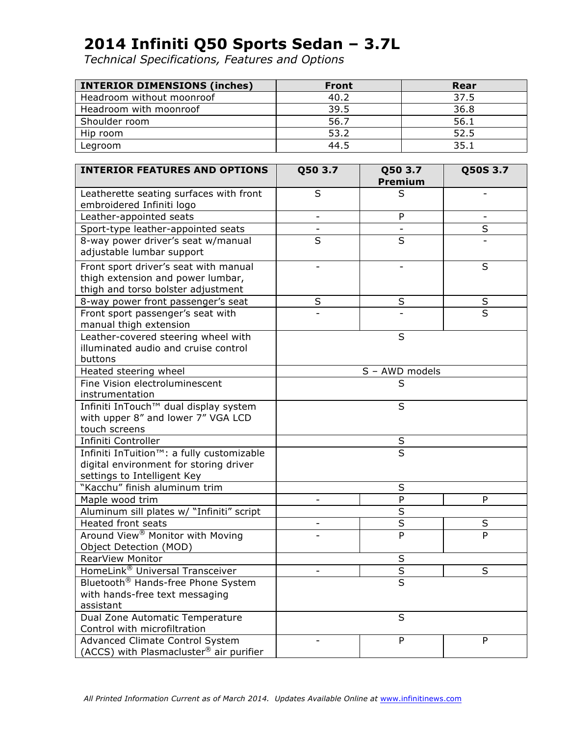| <b>INTERIOR DIMENSIONS (inches)</b> | <b>Front</b> | Rear |
|-------------------------------------|--------------|------|
| Headroom without moonroof           | 40.2         | 37.5 |
| Headroom with moonroof              | 39.5         | 36.8 |
| Shoulder room                       | 56.7         | 56.1 |
| Hip room                            | 53.2         | 52.5 |
| Legroom                             | 44.5         | 35.1 |

| <b>INTERIOR FEATURES AND OPTIONS</b>                        | Q50 3.7                                             | Q50 3.7<br>Premium | Q50S 3.7 |
|-------------------------------------------------------------|-----------------------------------------------------|--------------------|----------|
| Leatherette seating surfaces with front                     | S                                                   | S                  |          |
| embroidered Infiniti logo                                   |                                                     |                    |          |
| Leather-appointed seats                                     | $\overline{\phantom{0}}$                            | P                  |          |
| Sport-type leather-appointed seats                          |                                                     |                    | S        |
| 8-way power driver's seat w/manual                          | S                                                   | S                  |          |
| adjustable lumbar support                                   |                                                     |                    |          |
| Front sport driver's seat with manual                       |                                                     |                    | S        |
| thigh extension and power lumbar,                           |                                                     |                    |          |
| thigh and torso bolster adjustment                          |                                                     |                    |          |
| 8-way power front passenger's seat                          | S                                                   | S                  | $\sf S$  |
| Front sport passenger's seat with<br>manual thigh extension |                                                     |                    | S        |
| Leather-covered steering wheel with                         |                                                     | S                  |          |
| illuminated audio and cruise control                        |                                                     |                    |          |
| buttons                                                     |                                                     |                    |          |
| Heated steering wheel                                       |                                                     | S - AWD models     |          |
| Fine Vision electroluminescent                              |                                                     | S                  |          |
| instrumentation                                             |                                                     |                    |          |
| Infiniti InTouch™ dual display system                       |                                                     | S                  |          |
| with upper 8" and lower 7" VGA LCD                          |                                                     |                    |          |
| touch screens                                               |                                                     |                    |          |
| Infiniti Controller                                         | $\sf S$                                             |                    |          |
| Infiniti InTuition <sup>™</sup> : a fully customizable      |                                                     | S                  |          |
| digital environment for storing driver                      |                                                     |                    |          |
| settings to Intelligent Key                                 |                                                     |                    |          |
| "Kacchu" finish aluminum trim                               |                                                     | S                  |          |
| Maple wood trim                                             |                                                     | $\mathsf{P}$       | P        |
| Aluminum sill plates w/ "Infiniti" script                   |                                                     | S                  |          |
| <b>Heated front seats</b>                                   | $\overline{\phantom{0}}$                            | S                  | S        |
| Around View <sup>®</sup> Monitor with Moving                |                                                     | P                  | P        |
| Object Detection (MOD)                                      |                                                     |                    |          |
| RearView Monitor                                            |                                                     | S                  |          |
| HomeLink® Universal Transceiver                             | $\overline{\mathsf{s}}$<br>S                        |                    |          |
|                                                             | Bluetooth <sup>®</sup> Hands-free Phone System<br>S |                    |          |
| with hands-free text messaging                              |                                                     |                    |          |
| assistant                                                   |                                                     |                    |          |
| Dual Zone Automatic Temperature                             |                                                     | S                  |          |
| Control with microfiltration                                |                                                     |                    |          |
| Advanced Climate Control System                             |                                                     | P                  | P        |
| (ACCS) with Plasmacluster <sup>®</sup> air purifier         |                                                     |                    |          |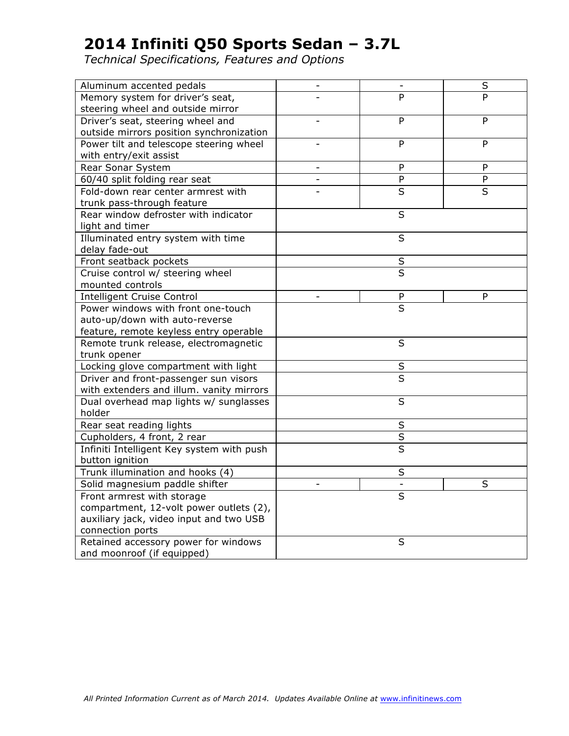| Aluminum accented pedals                  | $\overline{\phantom{0}}$ | $\overline{\phantom{a}}$ | $\sf S$        |
|-------------------------------------------|--------------------------|--------------------------|----------------|
| Memory system for driver's seat,          |                          | P                        | $\overline{P}$ |
| steering wheel and outside mirror         |                          |                          |                |
| Driver's seat, steering wheel and         |                          | P                        | P              |
| outside mirrors position synchronization  |                          |                          |                |
| Power tilt and telescope steering wheel   |                          | P                        | P              |
| with entry/exit assist                    |                          |                          |                |
| Rear Sonar System                         |                          | P                        | P              |
| 60/40 split folding rear seat             |                          | P                        | P              |
| Fold-down rear center armrest with        |                          | $\overline{\mathsf{s}}$  | $\overline{S}$ |
| trunk pass-through feature                |                          |                          |                |
| Rear window defroster with indicator      |                          | S                        |                |
| light and timer                           |                          |                          |                |
| Illuminated entry system with time        |                          | S                        |                |
| delay fade-out                            |                          |                          |                |
| Front seatback pockets                    |                          | S                        |                |
| Cruise control w/ steering wheel          |                          | $\overline{\mathsf{s}}$  |                |
| mounted controls                          |                          |                          |                |
| <b>Intelligent Cruise Control</b>         |                          | P                        | P              |
| Power windows with front one-touch        |                          | $\overline{\mathsf{s}}$  |                |
| auto-up/down with auto-reverse            |                          |                          |                |
| feature, remote keyless entry operable    |                          |                          |                |
| Remote trunk release, electromagnetic     |                          | S                        |                |
| trunk opener                              |                          |                          |                |
| Locking glove compartment with light      |                          | $\sf S$                  |                |
| Driver and front-passenger sun visors     |                          | $\overline{\mathsf{s}}$  |                |
| with extenders and illum. vanity mirrors  |                          |                          |                |
| Dual overhead map lights w/ sunglasses    |                          | S                        |                |
| holder                                    |                          |                          |                |
| Rear seat reading lights                  |                          | S                        |                |
| Cupholders, 4 front, 2 rear               |                          | $\overline{\mathsf{s}}$  |                |
| Infiniti Intelligent Key system with push | $\overline{\mathsf{s}}$  |                          |                |
| button ignition                           |                          |                          |                |
| Trunk illumination and hooks (4)          |                          | S                        |                |
| Solid magnesium paddle shifter            | L,                       |                          | $\sf S$        |
| Front armrest with storage                |                          | S                        |                |
| compartment, 12-volt power outlets (2),   |                          |                          |                |
| auxiliary jack, video input and two USB   |                          |                          |                |
| connection ports                          |                          |                          |                |
| Retained accessory power for windows      |                          | S                        |                |
| and moonroof (if equipped)                |                          |                          |                |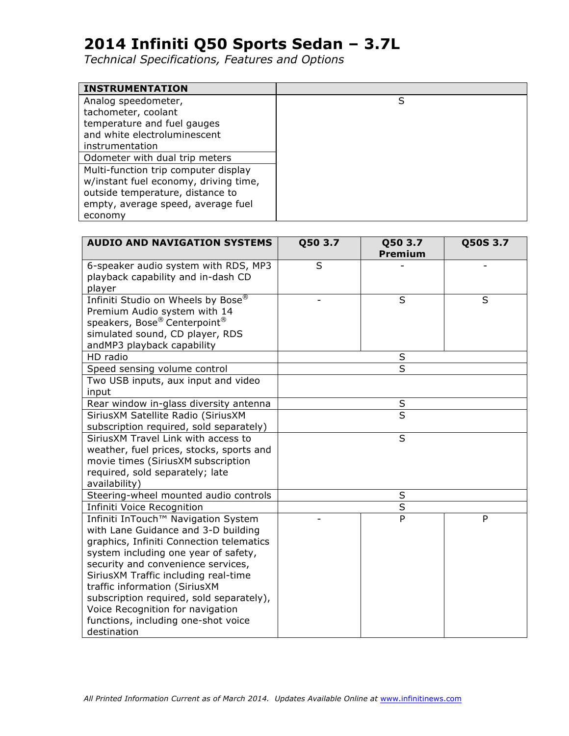| <b>INSTRUMENTATION</b>                |   |
|---------------------------------------|---|
| Analog speedometer,                   | S |
| tachometer, coolant                   |   |
| temperature and fuel gauges           |   |
| and white electroluminescent          |   |
| instrumentation                       |   |
| Odometer with dual trip meters        |   |
| Multi-function trip computer display  |   |
| w/instant fuel economy, driving time, |   |
| outside temperature, distance to      |   |
| empty, average speed, average fuel    |   |
| economy                               |   |

| <b>AUDIO AND NAVIGATION SYSTEMS</b>      | Q50 3.7<br>Q50 3.7<br><b>Premium</b> |                         | Q50S 3.7 |
|------------------------------------------|--------------------------------------|-------------------------|----------|
|                                          | S                                    |                         |          |
| 6-speaker audio system with RDS, MP3     |                                      |                         |          |
| playback capability and in-dash CD       |                                      |                         |          |
| player                                   |                                      | S                       | S        |
| Infiniti Studio on Wheels by Bose®       |                                      |                         |          |
| Premium Audio system with 14             |                                      |                         |          |
| speakers, Bose® Centerpoint®             |                                      |                         |          |
| simulated sound, CD player, RDS          |                                      |                         |          |
| andMP3 playback capability               |                                      |                         |          |
| HD radio                                 |                                      | S                       |          |
| Speed sensing volume control             |                                      | S                       |          |
| Two USB inputs, aux input and video      |                                      |                         |          |
| input                                    |                                      |                         |          |
| Rear window in-glass diversity antenna   |                                      | S                       |          |
| SiriusXM Satellite Radio (SiriusXM       |                                      | $\overline{\mathsf{s}}$ |          |
| subscription required, sold separately)  |                                      |                         |          |
| SiriusXM Travel Link with access to      |                                      | S                       |          |
| weather, fuel prices, stocks, sports and |                                      |                         |          |
| movie times (SiriusXM subscription       |                                      |                         |          |
| required, sold separately; late          |                                      |                         |          |
| availability)                            |                                      |                         |          |
| Steering-wheel mounted audio controls    |                                      | $\sf S$                 |          |
| Infiniti Voice Recognition               |                                      | $rac{S}{P}$             |          |
| Infiniti InTouch™ Navigation System      |                                      |                         | P        |
| with Lane Guidance and 3-D building      |                                      |                         |          |
| graphics, Infiniti Connection telematics |                                      |                         |          |
| system including one year of safety,     |                                      |                         |          |
| security and convenience services,       |                                      |                         |          |
| SiriusXM Traffic including real-time     |                                      |                         |          |
| traffic information (SiriusXM            |                                      |                         |          |
| subscription required, sold separately), |                                      |                         |          |
| Voice Recognition for navigation         |                                      |                         |          |
| functions, including one-shot voice      |                                      |                         |          |
| destination                              |                                      |                         |          |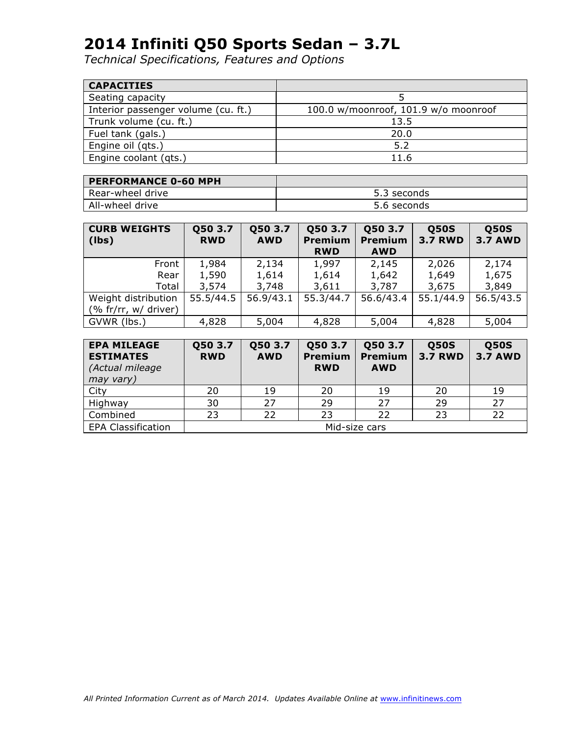| <b>CAPACITIES</b>                   |                                      |
|-------------------------------------|--------------------------------------|
| Seating capacity                    |                                      |
| Interior passenger volume (cu. ft.) | 100.0 w/moonroof, 101.9 w/o moonroof |
| Trunk volume (cu. ft.)              | 13.5                                 |
| Fuel tank (gals.)                   | 20.0                                 |
| Engine oil (qts.)                   | 5.2                                  |
| Engine coolant (qts.)               | 11.6                                 |

| <b>PERFORMANCE 0-60 MPH</b> |             |
|-----------------------------|-------------|
| Rear-wheel drive            | 5.3 seconds |
| All-wheel drive             | 5.6 seconds |

| <b>CURB WEIGHTS</b><br>(lbs) | Q50 3.7<br><b>RWD</b> | Q50 3.7<br><b>AWD</b> | Q50 3.7<br><b>Premium</b><br><b>RWD</b> | Q50 3.7<br><b>Premium</b><br><b>AWD</b> | <b>Q50S</b><br><b>3.7 RWD</b> | <b>Q50S</b><br><b>3.7 AWD</b> |
|------------------------------|-----------------------|-----------------------|-----------------------------------------|-----------------------------------------|-------------------------------|-------------------------------|
| Front                        | 1,984                 | 2,134                 | 1,997                                   | 2,145                                   | 2,026                         | 2,174                         |
| Rear                         | 1,590                 | 1,614                 | 1,614                                   | 1,642                                   | 1,649                         | 1,675                         |
| Total                        | 3,574                 | 3,748                 | 3,611                                   | 3,787                                   | 3,675                         | 3,849                         |
| Weight distribution          | 55.5/44.5             | 56.9/43.1             | 55.3/44.7                               | 56.6/43.4                               | 55.1/44.9                     | 56.5/43.5                     |
| (% fr/rr, $w/$ driver)       |                       |                       |                                         |                                         |                               |                               |
| GVWR (lbs.)                  | 4,828                 | 5,004                 | 4,828                                   | 5,004                                   | 4,828                         | 5,004                         |

| <b>EPA MILEAGE</b><br><b>ESTIMATES</b><br>(Actual mileage<br>may vary) | Q50 3.7<br><b>RWD</b> | Q50 3.7<br><b>AWD</b> | Q50 3.7<br><b>Premium</b><br><b>RWD</b> | Q50 3.7<br><b>Premium</b><br><b>AWD</b> | <b>Q50S</b><br><b>3.7 RWD</b> | <b>Q50S</b><br><b>3.7 AWD</b> |
|------------------------------------------------------------------------|-----------------------|-----------------------|-----------------------------------------|-----------------------------------------|-------------------------------|-------------------------------|
| City                                                                   | 20                    | 19                    | 20                                      | 19                                      | 20                            | 19                            |
| Highway                                                                | 30                    | 27                    | 29                                      | 27                                      | 29                            | 27                            |
| Combined                                                               | 23                    | 22                    | 23                                      | 22                                      | 23                            | 22                            |
| <b>EPA Classification</b>                                              | Mid-size cars         |                       |                                         |                                         |                               |                               |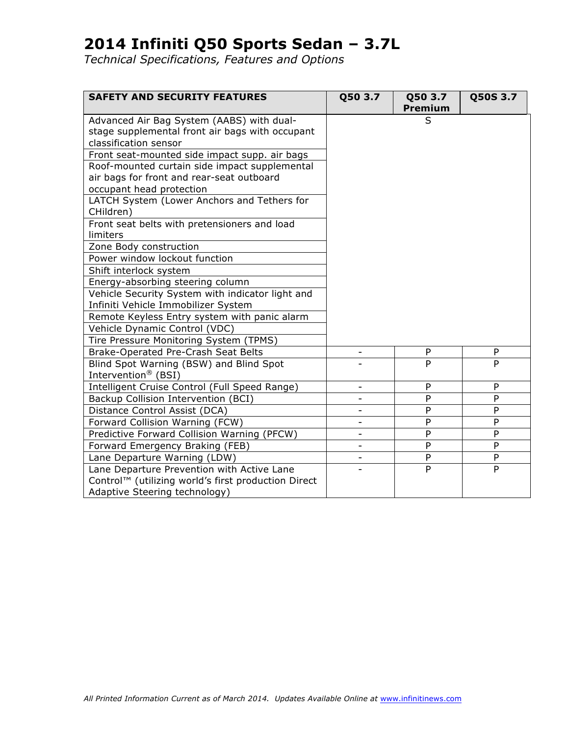| <b>SAFETY AND SECURITY FEATURES</b>                                                                                   | Q50 3.7                  | Q50 3.7<br>Premium | Q50S 3.7       |
|-----------------------------------------------------------------------------------------------------------------------|--------------------------|--------------------|----------------|
| Advanced Air Bag System (AABS) with dual-<br>stage supplemental front air bags with occupant<br>classification sensor |                          | S                  |                |
| Front seat-mounted side impact supp. air bags                                                                         |                          |                    |                |
| Roof-mounted curtain side impact supplemental<br>air bags for front and rear-seat outboard                            |                          |                    |                |
| occupant head protection                                                                                              |                          |                    |                |
| LATCH System (Lower Anchors and Tethers for<br>CHildren)                                                              |                          |                    |                |
| Front seat belts with pretensioners and load                                                                          |                          |                    |                |
| limiters                                                                                                              |                          |                    |                |
| Zone Body construction                                                                                                |                          |                    |                |
| Power window lockout function                                                                                         |                          |                    |                |
| Shift interlock system                                                                                                |                          |                    |                |
| Energy-absorbing steering column                                                                                      |                          |                    |                |
| Vehicle Security System with indicator light and                                                                      |                          |                    |                |
| Infiniti Vehicle Immobilizer System                                                                                   |                          |                    |                |
| Remote Keyless Entry system with panic alarm                                                                          |                          |                    |                |
| Vehicle Dynamic Control (VDC)                                                                                         |                          |                    |                |
| Tire Pressure Monitoring System (TPMS)                                                                                |                          |                    |                |
| Brake-Operated Pre-Crash Seat Belts                                                                                   | L,                       | P                  | P              |
| Blind Spot Warning (BSW) and Blind Spot<br>Intervention <sup>®</sup> (BSI)                                            |                          | P                  | P              |
| Intelligent Cruise Control (Full Speed Range)                                                                         | $\overline{\phantom{a}}$ | P                  | P              |
| Backup Collision Intervention (BCI)                                                                                   |                          | P                  | P              |
| Distance Control Assist (DCA)                                                                                         |                          | P                  | P              |
| Forward Collision Warning (FCW)                                                                                       | $\overline{\phantom{0}}$ | P                  | P              |
| Predictive Forward Collision Warning (PFCW)                                                                           |                          | P                  | P              |
| Forward Emergency Braking (FEB)                                                                                       | -                        | $\mathsf{P}$       | P              |
| Lane Departure Warning (LDW)                                                                                          |                          | ${\sf P}$          | P              |
| Lane Departure Prevention with Active Lane                                                                            |                          | P                  | $\overline{P}$ |
| Control™ (utilizing world's first production Direct                                                                   |                          |                    |                |
| Adaptive Steering technology)                                                                                         |                          |                    |                |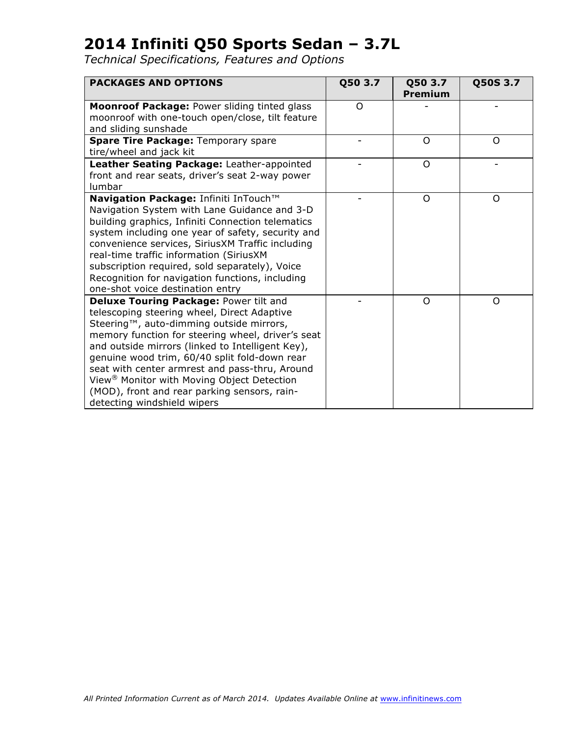| <b>PACKAGES AND OPTIONS</b>                                                                                                                                                                                                                                                                                                                                                                                                                                                            | Q50 3.7 | Q50 3.7<br>Premium | Q50S 3.7 |
|----------------------------------------------------------------------------------------------------------------------------------------------------------------------------------------------------------------------------------------------------------------------------------------------------------------------------------------------------------------------------------------------------------------------------------------------------------------------------------------|---------|--------------------|----------|
| Moonroof Package: Power sliding tinted glass<br>moonroof with one-touch open/close, tilt feature<br>and sliding sunshade                                                                                                                                                                                                                                                                                                                                                               | O       |                    |          |
| Spare Tire Package: Temporary spare<br>tire/wheel and jack kit                                                                                                                                                                                                                                                                                                                                                                                                                         |         | $\Omega$           | $\Omega$ |
| Leather Seating Package: Leather-appointed<br>front and rear seats, driver's seat 2-way power<br>lumbar                                                                                                                                                                                                                                                                                                                                                                                |         | Ω                  |          |
| Navigation Package: Infiniti InTouch™<br>Navigation System with Lane Guidance and 3-D<br>building graphics, Infiniti Connection telematics<br>system including one year of safety, security and<br>convenience services, SiriusXM Traffic including<br>real-time traffic information (SiriusXM<br>subscription required, sold separately), Voice<br>Recognition for navigation functions, including<br>one-shot voice destination entry                                                |         | O                  | O        |
| Deluxe Touring Package: Power tilt and<br>telescoping steering wheel, Direct Adaptive<br>Steering™, auto-dimming outside mirrors,<br>memory function for steering wheel, driver's seat<br>and outside mirrors (linked to Intelligent Key),<br>genuine wood trim, 60/40 split fold-down rear<br>seat with center armrest and pass-thru, Around<br>View <sup>®</sup> Monitor with Moving Object Detection<br>(MOD), front and rear parking sensors, rain-<br>detecting windshield wipers |         | O                  | O        |